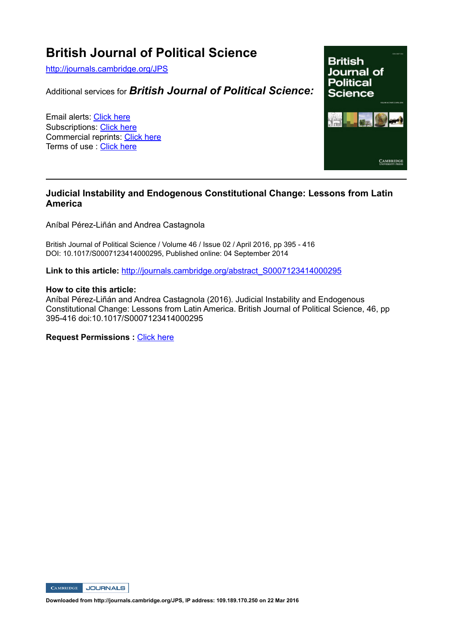# **British Journal of Political Science**

http://journals.cambridge.org/JPS

Additional services for *British Journal of Political Science:*

Email alerts: Click here Subscriptions: Click here Commercial reprints: Click here Terms of use : Click here



## **Judicial Instability and Endogenous Constitutional Change: Lessons from Latin America**

Aníbal Pérez-Liñán and Andrea Castagnola

British Journal of Political Science / Volume 46 / Issue 02 / April 2016, pp 395 - 416 DOI: 10.1017/S0007123414000295, Published online: 04 September 2014

Link to this article: http://journals.cambridge.org/abstract\_S0007123414000295

#### **How to cite this article:**

Aníbal Pérez-Liñán and Andrea Castagnola (2016). Judicial Instability and Endogenous Constitutional Change: Lessons from Latin America. British Journal of Political Science, 46, pp 395-416 doi:10.1017/S0007123414000295

**Request Permissions :** Click here

**CAMBRIDGE** JOURNALS

**Downloaded from http://journals.cambridge.org/JPS, IP address: 109.189.170.250 on 22 Mar 2016**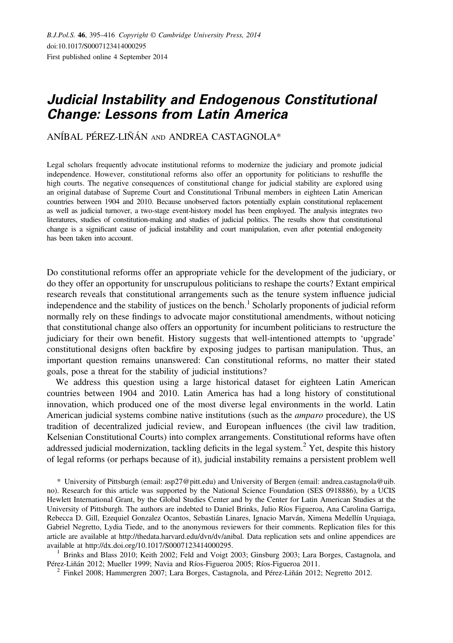# Judicial Instability and Endogenous Constitutional Change: Lessons from Latin America

## ANÍBAL PÉREZ-LIÑÁN AND ANDREA CASTAGNOLA\*

Legal scholars frequently advocate institutional reforms to modernize the judiciary and promote judicial independence. However, constitutional reforms also offer an opportunity for politicians to reshuffle the high courts. The negative consequences of constitutional change for judicial stability are explored using an original database of Supreme Court and Constitutional Tribunal members in eighteen Latin American countries between 1904 and 2010. Because unobserved factors potentially explain constitutional replacement as well as judicial turnover, a two-stage event-history model has been employed. The analysis integrates two literatures, studies of constitution-making and studies of judicial politics. The results show that constitutional change is a significant cause of judicial instability and court manipulation, even after potential endogeneity has been taken into account.

Do constitutional reforms offer an appropriate vehicle for the development of the judiciary, or do they offer an opportunity for unscrupulous politicians to reshape the courts? Extant empirical research reveals that constitutional arrangements such as the tenure system influence judicial independence and the stability of justices on the bench.<sup>1</sup> Scholarly proponents of judicial reform normally rely on these findings to advocate major constitutional amendments, without noticing that constitutional change also offers an opportunity for incumbent politicians to restructure the judiciary for their own benefit. History suggests that well-intentioned attempts to 'upgrade' constitutional designs often backfire by exposing judges to partisan manipulation. Thus, an important question remains unanswered: Can constitutional reforms, no matter their stated goals, pose a threat for the stability of judicial institutions?

We address this question using a large historical dataset for eighteen Latin American countries between 1904 and 2010. Latin America has had a long history of constitutional innovation, which produced one of the most diverse legal environments in the world. Latin American judicial systems combine native institutions (such as the *amparo* procedure), the US tradition of decentralized judicial review, and European influences (the civil law tradition, Kelsenian Constitutional Courts) into complex arrangements. Constitutional reforms have often addressed judicial modernization, tackling deficits in the legal system.<sup>2</sup> Yet, despite this history of legal reforms (or perhaps because of it), judicial instability remains a persistent problem well

\* University of Pittsburgh (email: asp27@pitt.edu) and University of Bergen (email: andrea.castagnola@uib. no). Research for this article was supported by the National Science Foundation (SES 0918886), by a UCIS Hewlett International Grant, by the Global Studies Center and by the Center for Latin American Studies at the University of Pittsburgh. The authors are indebted to Daniel Brinks, Julio Ríos Figueroa, Ana Carolina Garriga, Rebecca D. Gill, Ezequiel Gonzalez Ocantos, Sebastián Linares, Ignacio Marván, Ximena Medellín Urquiaga, Gabriel Negretto, Lydia Tiede, and to the anonymous reviewers for their comments. Replication files for this article are available at http://thedata.harvard.edu/dvn/dv/anibal. Data replication sets and online appendices are available at http://dx.doi.org/10.1017/S0007123414000295.

 $^1$  Brinks and Blass [2010](#page-19-0); Keith [2002](#page-20-0); Feld and Voigt [2003;](#page-20-0) Ginsburg [2003](#page-20-0); Lara Borges, Castagnola, and Pérez-Liñán [2012;](#page-20-0) Mueller [1999;](#page-21-0) Navia and Ríos-Figueroa [2005;](#page-21-0) Ríos-Figueroa [2011.](#page-22-0) <sup>2</sup> Finkel [2008](#page-20-0); Hammergren [2007](#page-20-0); Lara Borges, Castagnola, and Pérez-Liñán [2012](#page-20-0); Negretto [2012](#page-21-0).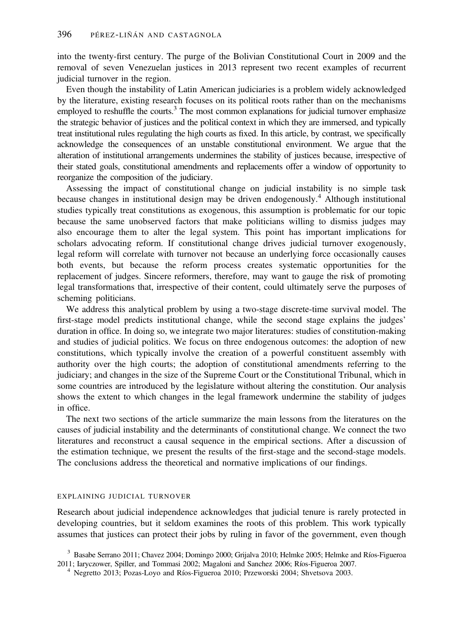into the twenty-first century. The purge of the Bolivian Constitutional Court in 2009 and the removal of seven Venezuelan justices in 2013 represent two recent examples of recurrent judicial turnover in the region.

Even though the instability of Latin American judiciaries is a problem widely acknowledged by the literature, existing research focuses on its political roots rather than on the mechanisms employed to reshuffle the courts.<sup>3</sup> The most common explanations for judicial turnover emphasize the strategic behavior of justices and the political context in which they are immersed, and typically treat institutional rules regulating the high courts as fixed. In this article, by contrast, we specifically acknowledge the consequences of an unstable constitutional environment. We argue that the alteration of institutional arrangements undermines the stability of justices because, irrespective of their stated goals, constitutional amendments and replacements offer a window of opportunity to reorganize the composition of the judiciary.

Assessing the impact of constitutional change on judicial instability is no simple task because changes in institutional design may be driven endogenously.<sup>4</sup> Although institutional studies typically treat constitutions as exogenous, this assumption is problematic for our topic because the same unobserved factors that make politicians willing to dismiss judges may also encourage them to alter the legal system. This point has important implications for scholars advocating reform. If constitutional change drives judicial turnover exogenously, legal reform will correlate with turnover not because an underlying force occasionally causes both events, but because the reform process creates systematic opportunities for the replacement of judges. Sincere reformers, therefore, may want to gauge the risk of promoting legal transformations that, irrespective of their content, could ultimately serve the purposes of scheming politicians.

We address this analytical problem by using a two-stage discrete-time survival model. The first-stage model predicts institutional change, while the second stage explains the judges' duration in office. In doing so, we integrate two major literatures: studies of constitution-making and studies of judicial politics. We focus on three endogenous outcomes: the adoption of new constitutions, which typically involve the creation of a powerful constituent assembly with authority over the high courts; the adoption of constitutional amendments referring to the judiciary; and changes in the size of the Supreme Court or the Constitutional Tribunal, which in some countries are introduced by the legislature without altering the constitution. Our analysis shows the extent to which changes in the legal framework undermine the stability of judges in office.

The next two sections of the article summarize the main lessons from the literatures on the causes of judicial instability and the determinants of constitutional change. We connect the two literatures and reconstruct a causal sequence in the empirical sections. After a discussion of the estimation technique, we present the results of the first-stage and the second-stage models. The conclusions address the theoretical and normative implications of our findings.

#### EXPLAINING JUDICIAL TURNOVER

Research about judicial independence acknowledges that judicial tenure is rarely protected in developing countries, but it seldom examines the roots of this problem. This work typically assumes that justices can protect their jobs by ruling in favor of the government, even though

<sup>3</sup> Basabe Serrano [2011](#page-19-0); Chavez [2004](#page-19-0); Domingo [2000](#page-20-0); Grijalva [2010;](#page-20-0) Helmke [2005](#page-20-0); Helmke and Ríos-Figueroa [2011;](#page-20-0) Iaryczower, Spiller, and Tommasi [2002;](#page-20-0) Magaloni and Sanchez [2006;](#page-21-0) Ríos-Figueroa [2007](#page-22-0). <sup>4</sup> Negretto [2013;](#page-21-0) Pozas-Loyo and Ríos-Figueroa [2010](#page-21-0); Przeworski [2004;](#page-21-0) Shvetsova [2003](#page-22-0).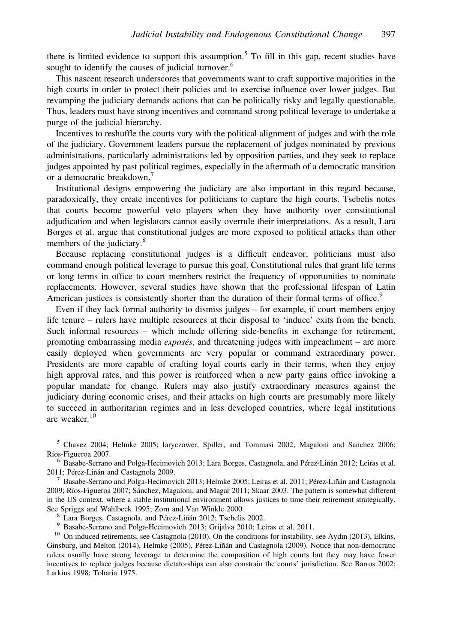there is limited evidence to support this assumption.<sup>5</sup> To fill in this gap, recent studies have sought to identify the causes of judicial turnover.<sup>6</sup>

This nascent research underscores that governments want to craft supportive majorities in the high courts in order to protect their policies and to exercise influence over lower judges. But revamping the judiciary demands actions that can be politically risky and legally questionable. Thus, leaders must have strong incentives and command strong political leverage to undertake a purge of the judicial hierarchy.

Incentives to reshuffle the courts vary with the political alignment of judges and with the role of the judiciary. Government leaders pursue the replacement of judges nominated by previous administrations, particularly administrations led by opposition parties, and they seek to replace judges appointed by past political regimes, especially in the aftermath of a democratic transition or a democratic breakdown.<sup>7</sup>

Institutional designs empowering the judiciary are also important in this regard because, paradoxically, they create incentives for politicians to capture the high courts. Tsebelis notes that courts become powerful veto players when they have authority over constitutional adjudication and when legislators cannot easily overrule their interpretations. As a result, Lara Borges et al. argue that constitutional judges are more exposed to political attacks than other members of the judiciary.<sup>8</sup>

Because replacing constitutional judges is a difficult endeavor, politicians must also command enough political leverage to pursue this goal. Constitutional rules that grant life terms or long terms in office to court members restrict the frequency of opportunities to nominate replacements. However, several studies have shown that the professional lifespan of Latin American justices is consistently shorter than the duration of their formal terms of office.<sup>9</sup>

Even if they lack formal authority to dismiss judges – for example, if court members enjoy life tenure – rulers have multiple resources at their disposal to 'induce' exits from the bench. Such informal resources – which include offering side-benefits in exchange for retirement, promoting embarrassing media exposés, and threatening judges with impeachment – are more easily deployed when governments are very popular or command extraordinary power. Presidents are more capable of crafting loyal courts early in their terms, when they enjoy high approval rates, and this power is reinforced when a new party gains office invoking a popular mandate for change. Rulers may also justify extraordinary measures against the judiciary during economic crises, and their attacks on high courts are presumably more likely to succeed in authoritarian regimes and in less developed countries, where legal institutions are weaker.<sup>10</sup>

<sup>5</sup> Chavez [2004;](#page-19-0) Helmke [2005](#page-20-0); Iaryczower, Spiller, and Tommasi [2002](#page-20-0); Magaloni and Sanchez [2006;](#page-21-0)

 $6$  Basabe-Serrano and Polga-Hecimovich [2013;](#page-19-0) Lara Borges, Castagnola, and Pérez-Liñán [2012](#page-20-0); Leiras et al. [2011;](#page-20-0) Pérez-Liñán and Castagnola [2009.](#page-21-0) <sup>7</sup> Basabe-Serrano and Polga-Hecimovich [2013](#page-19-0); Helmke [2005](#page-20-0); Leiras et al. [2011](#page-20-0); Pérez-Liñán and Castagnola

[2009;](#page-21-0) Ríos-Figueroa [2007;](#page-22-0) Sánchez, Magaloni, and Magar [2011](#page-22-0); Skaar [2003](#page-22-0). The pattern is somewhat different in the US context, where a stable institutional environment allows justices to time their retirement strategically.

<sup>8</sup> Lara Borges, Castagnola, and Pérez-Liñán [2012;](#page-20-0) Tsebelis [2002.](#page-22-0)<br><sup>9</sup> Basabe-Serrano and Polga-Hecimovich [2013;](#page-19-0) Grijalva [2010;](#page-20-0) Leiras et al. [2011](#page-20-0).<br><sup>10</sup> On induced retirements, see Castagnola ([2010\)](#page-19-0). On the conditions for i Ginsburg, and Melton ([2014\)](#page-20-0), Helmke [\(2005](#page-20-0)), Pérez-Liñán and Castagnola ([2009\)](#page-21-0). Notice that non-democratic rulers usually have strong leverage to determine the composition of high courts but they may have fewer incentives to replace judges because dictatorships can also constrain the courts' jurisdiction. See Barros [2002;](#page-19-0) Larkins [1998](#page-20-0); Toharia [1975](#page-22-0).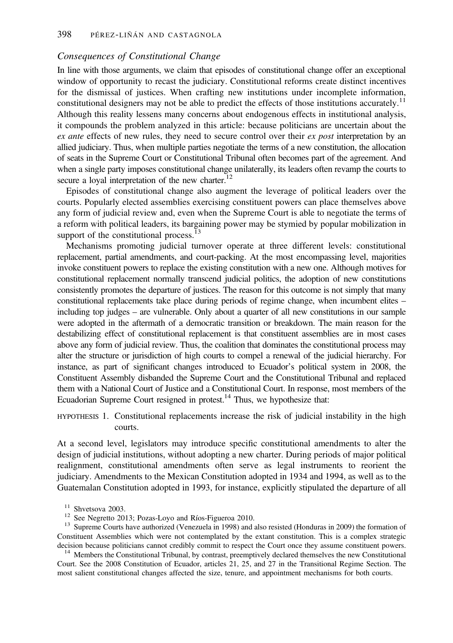## Consequences of Constitutional Change

In line with those arguments, we claim that episodes of constitutional change offer an exceptional window of opportunity to recast the judiciary. Constitutional reforms create distinct incentives for the dismissal of justices. When crafting new institutions under incomplete information, constitutional designers may not be able to predict the effects of those institutions accurately.<sup>11</sup> Although this reality lessens many concerns about endogenous effects in institutional analysis, it compounds the problem analyzed in this article: because politicians are uncertain about the ex ante effects of new rules, they need to secure control over their ex post interpretation by an allied judiciary. Thus, when multiple parties negotiate the terms of a new constitution, the allocation of seats in the Supreme Court or Constitutional Tribunal often becomes part of the agreement. And when a single party imposes constitutional change unilaterally, its leaders often revamp the courts to secure a loyal interpretation of the new charter. $^{12}$ 

Episodes of constitutional change also augment the leverage of political leaders over the courts. Popularly elected assemblies exercising constituent powers can place themselves above any form of judicial review and, even when the Supreme Court is able to negotiate the terms of a reform with political leaders, its bargaining power may be stymied by popular mobilization in support of the constitutional process. $^{13}$ 

Mechanisms promoting judicial turnover operate at three different levels: constitutional replacement, partial amendments, and court-packing. At the most encompassing level, majorities invoke constituent powers to replace the existing constitution with a new one. Although motives for constitutional replacement normally transcend judicial politics, the adoption of new constitutions consistently promotes the departure of justices. The reason for this outcome is not simply that many constitutional replacements take place during periods of regime change, when incumbent elites – including top judges – are vulnerable. Only about a quarter of all new constitutions in our sample were adopted in the aftermath of a democratic transition or breakdown. The main reason for the destabilizing effect of constitutional replacement is that constituent assemblies are in most cases above any form of judicial review. Thus, the coalition that dominates the constitutional process may alter the structure or jurisdiction of high courts to compel a renewal of the judicial hierarchy. For instance, as part of significant changes introduced to Ecuador's political system in 2008, the Constituent Assembly disbanded the Supreme Court and the Constitutional Tribunal and replaced them with a National Court of Justice and a Constitutional Court. In response, most members of the Ecuadorian Supreme Court resigned in protest.<sup>14</sup> Thus, we hypothesize that:

HYPOTHESIS 1. Constitutional replacements increase the risk of judicial instability in the high courts.

At a second level, legislators may introduce specific constitutional amendments to alter the design of judicial institutions, without adopting a new charter. During periods of major political realignment, constitutional amendments often serve as legal instruments to reorient the judiciary. Amendments to the Mexican Constitution adopted in 1934 and 1994, as well as to the Guatemalan Constitution adopted in 1993, for instance, explicitly stipulated the departure of all

<sup>11</sup> Shvetsova [2003.](#page-22-0)<br><sup>12</sup> See Negretto [2013](#page-21-0); Pozas-Loyo and Ríos-Figueroa [2010](#page-21-0).<br><sup>13</sup> Supreme Courts have authorized (Venezuela in 1998) and also resisted (Honduras in 2009) the formation of Constituent Assemblies which were not contemplated by the extant constitution. This is a complex strategic decision because politicians cannot credibly commit to respect the Court once they assume constituent powers. <sup>14</sup> Members the Constitutional Tribunal, by contrast, preemptively declared themselves the new Constitutional

Court. See the 2008 Constitution of Ecuador, articles 21, 25, and 27 in the Transitional Regime Section. The most salient constitutional changes affected the size, tenure, and appointment mechanisms for both courts.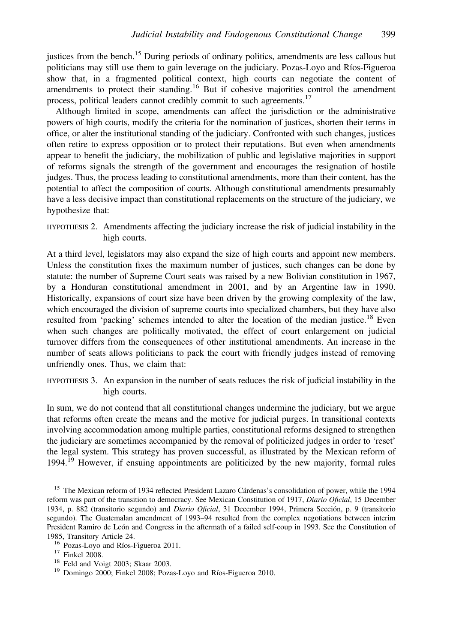justices from the bench.<sup>15</sup> During periods of ordinary politics, amendments are less callous but politicians may still use them to gain leverage on the judiciary. Pozas-Loyo and Ríos-Figueroa show that, in a fragmented political context, high courts can negotiate the content of amendments to protect their standing.<sup>16</sup> But if cohesive majorities control the amendment process, political leaders cannot credibly commit to such agreements.<sup>17</sup>

Although limited in scope, amendments can affect the jurisdiction or the administrative powers of high courts, modify the criteria for the nomination of justices, shorten their terms in office, or alter the institutional standing of the judiciary. Confronted with such changes, justices often retire to express opposition or to protect their reputations. But even when amendments appear to benefit the judiciary, the mobilization of public and legislative majorities in support of reforms signals the strength of the government and encourages the resignation of hostile judges. Thus, the process leading to constitutional amendments, more than their content, has the potential to affect the composition of courts. Although constitutional amendments presumably have a less decisive impact than constitutional replacements on the structure of the judiciary, we hypothesize that:

HYPOTHESIS 2. Amendments affecting the judiciary increase the risk of judicial instability in the high courts.

At a third level, legislators may also expand the size of high courts and appoint new members. Unless the constitution fixes the maximum number of justices, such changes can be done by statute: the number of Supreme Court seats was raised by a new Bolivian constitution in 1967, by a Honduran constitutional amendment in 2001, and by an Argentine law in 1990. Historically, expansions of court size have been driven by the growing complexity of the law, which encouraged the division of supreme courts into specialized chambers, but they have also resulted from 'packing' schemes intended to alter the location of the median justice.<sup>18</sup> Even when such changes are politically motivated, the effect of court enlargement on judicial turnover differs from the consequences of other institutional amendments. An increase in the number of seats allows politicians to pack the court with friendly judges instead of removing unfriendly ones. Thus, we claim that:

HYPOTHESIS 3. An expansion in the number of seats reduces the risk of judicial instability in the high courts.

In sum, we do not contend that all constitutional changes undermine the judiciary, but we argue that reforms often create the means and the motive for judicial purges. In transitional contexts involving accommodation among multiple parties, constitutional reforms designed to strengthen the judiciary are sometimes accompanied by the removal of politicized judges in order to 'reset' the legal system. This strategy has proven successful, as illustrated by the Mexican reform of 1994.<sup>19</sup> However, if ensuing appointments are politicized by the new majority, formal rules

<sup>15</sup> The Mexican reform of 1934 reflected President Lazaro Cárdenas's consolidation of power, while the 1994 reform was part of the transition to democracy. See Mexican Constitution of 1917, Diario Oficial, 15 December 1934, p. 882 (transitorio segundo) and Diario Oficial, 31 December 1994, Primera Sección, p. 9 (transitorio segundo). The Guatemalan amendment of 1993–94 resulted from the complex negotiations between interim President Ramiro de León and Congress in the aftermath of a failed self-coup in 1993. See the Constitution of 1985, Transitory Article 24.<br><sup>16</sup> Pozas-Loyo and Ríos-Figueroa [2011.](#page-21-0)<br><sup>17</sup> Finkel [2008](#page-20-0).<br><sup>18</sup> Feld and Voigt [2003;](#page-20-0) Skaar [2003.](#page-22-0)<br><sup>19</sup> Domingo [2000;](#page-20-0) Finkel 2008; Pozas-Loyo and Ríos-Figueroa [2010.](#page-21-0)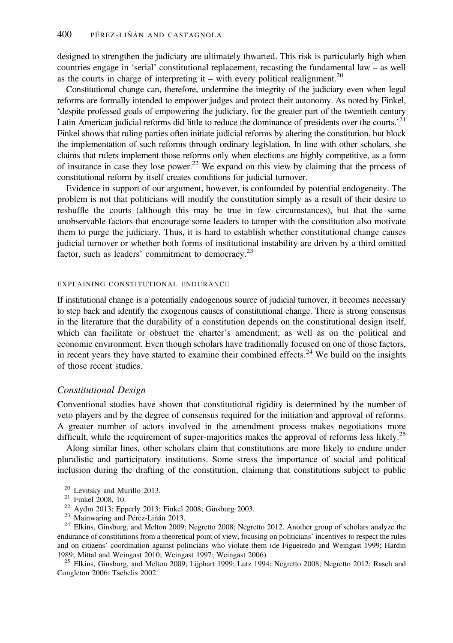designed to strengthen the judiciary are ultimately thwarted. This risk is particularly high when countries engage in 'serial' constitutional replacement, recasting the fundamental law – as well as the courts in charge of interpreting it – with every political realignment.<sup>20</sup>

Constitutional change can, therefore, undermine the integrity of the judiciary even when legal reforms are formally intended to empower judges and protect their autonomy. As noted by Finkel, 'despite professed goals of empowering the judiciary, for the greater part of the twentieth century Latin American judicial reforms did little to reduce the dominance of presidents over the courts.<sup>'21</sup> Finkel shows that ruling parties often initiate judicial reforms by altering the constitution, but block the implementation of such reforms through ordinary legislation. In line with other scholars, she claims that rulers implement those reforms only when elections are highly competitive, as a form of insurance in case they lose power.<sup>22</sup> We expand on this view by claiming that the process of constitutional reform by itself creates conditions for judicial turnover.

Evidence in support of our argument, however, is confounded by potential endogeneity. The problem is not that politicians will modify the constitution simply as a result of their desire to reshuffle the courts (although this may be true in few circumstances), but that the same unobservable factors that encourage some leaders to tamper with the constitution also motivate them to purge the judiciary. Thus, it is hard to establish whether constitutional change causes judicial turnover or whether both forms of institutional instability are driven by a third omitted factor, such as leaders' commitment to democracy. $^{23}$ 

#### EXPLAINING CONSTITUTIONAL ENDURANCE

If institutional change is a potentially endogenous source of judicial turnover, it becomes necessary to step back and identify the exogenous causes of constitutional change. There is strong consensus in the literature that the durability of a constitution depends on the constitutional design itself, which can facilitate or obstruct the charter's amendment, as well as on the political and economic environment. Even though scholars have traditionally focused on one of those factors, in recent years they have started to examine their combined effects.<sup>24</sup> We build on the insights of those recent studies.

## Constitutional Design

Conventional studies have shown that constitutional rigidity is determined by the number of veto players and by the degree of consensus required for the initiation and approval of reforms. A greater number of actors involved in the amendment process makes negotiations more difficult, while the requirement of super-majorities makes the approval of reforms less likely.<sup>25</sup>

Along similar lines, other scholars claim that constitutions are more likely to endure under pluralistic and participatory institutions. Some stress the importance of social and political inclusion during the drafting of the constitution, claiming that constitutions subject to public

- 
- 
- 
- 

<sup>20</sup> Levitsky and Murillo [2013](#page-19-0).<br>
<sup>21</sup> Finkel [2008,](#page-20-0) 10.<br>
<sup>22</sup> Aydın [2013;](#page-20-0) Epperly 2013; Finkel [2008](#page-21-0); Ginsburg [2003](#page-20-0).<br>
<sup>23</sup> Mainwaring and Pérez-Liñán [2013.](#page-21-0)<br>
<sup>24</sup> Elkins, Ginsburg, and Melton [2009;](#page-20-0) Negretto 2008; Negretto 20 endurance of constitutions from a theoretical point of view, focusing on politicians' incentives to respect the rules and on citizens' coordination against politicians who violate them (de Figueiredo and Weingast [1999;](#page-20-0) Hardin [1989](#page-20-0); Mittal and Weingast [2010](#page-21-0); Weingast [1997;](#page-22-0) Weingast [2006](#page-22-0)). <sup>25</sup> Elkins, Ginsburg, and Melton [2009;](#page-20-0) Lijphart [1999;](#page-21-0) Lutz [1994;](#page-21-0) Negretto [2008;](#page-21-0) Negretto [2012;](#page-21-0) Rasch and

Congleton [2006](#page-21-0); Tsebelis [2002](#page-22-0).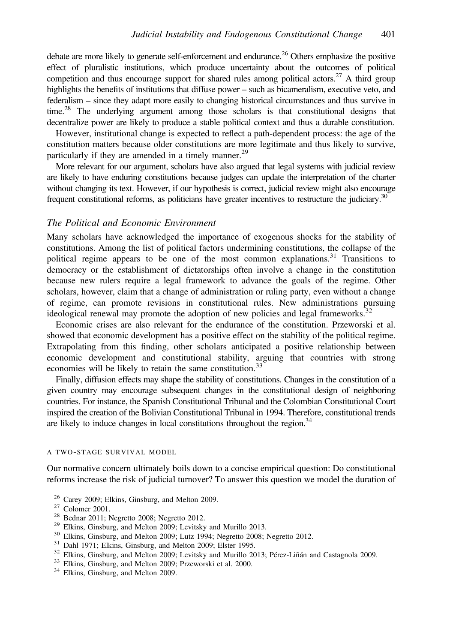debate are more likely to generate self-enforcement and endurance.<sup>26</sup> Others emphasize the positive effect of pluralistic institutions, which produce uncertainty about the outcomes of political competition and thus encourage support for shared rules among political actors.<sup>27</sup> A third group highlights the benefits of institutions that diffuse power – such as bicameralism, executive veto, and federalism – since they adapt more easily to changing historical circumstances and thus survive in time.<sup>28</sup> The underlying argument among those scholars is that constitutional designs that decentralize power are likely to produce a stable political context and thus a durable constitution.

However, institutional change is expected to reflect a path-dependent process: the age of the constitution matters because older constitutions are more legitimate and thus likely to survive, particularly if they are amended in a timely manner.<sup>29</sup>

More relevant for our argument, scholars have also argued that legal systems with judicial review are likely to have enduring constitutions because judges can update the interpretation of the charter without changing its text. However, if our hypothesis is correct, judicial review might also encourage frequent constitutional reforms, as politicians have greater incentives to restructure the judiciary.<sup>30</sup>

## The Political and Economic Environment

Many scholars have acknowledged the importance of exogenous shocks for the stability of constitutions. Among the list of political factors undermining constitutions, the collapse of the political regime appears to be one of the most common explanations.<sup>31</sup> Transitions to democracy or the establishment of dictatorships often involve a change in the constitution because new rulers require a legal framework to advance the goals of the regime. Other scholars, however, claim that a change of administration or ruling party, even without a change of regime, can promote revisions in constitutional rules. New administrations pursuing ideological renewal may promote the adoption of new policies and legal frameworks.<sup>32</sup>

Economic crises are also relevant for the endurance of the constitution. Przeworski et al. showed that economic development has a positive effect on the stability of the political regime. Extrapolating from this finding, other scholars anticipated a positive relationship between economic development and constitutional stability, arguing that countries with strong economies will be likely to retain the same constitution.<sup>33</sup>

Finally, diffusion effects may shape the stability of constitutions. Changes in the constitution of a given country may encourage subsequent changes in the constitutional design of neighboring countries. For instance, the Spanish Constitutional Tribunal and the Colombian Constitutional Court inspired the creation of the Bolivian Constitutional Tribunal in 1994. Therefore, constitutional trends are likely to induce changes in local constitutions throughout the region.<sup>34</sup>

#### A TWO-STAGE SURVIVAL MODEL

Our normative concern ultimately boils down to a concise empirical question: Do constitutional reforms increase the risk of judicial turnover? To answer this question we model the duration of

- 
- 
- 
- 
- 
- 
- <sup>26</sup> Carey [2009;](#page-20-0) Elkins, Ginsburg, and Melton [2009.](#page-20-0)<br>
<sup>27</sup> Colomer [2001](#page-19-0).<br>
<sup>28</sup> Bednar [2011](#page-19-0); Negretto [2008](#page-21-0); Negretto [2012](#page-21-0).<br>
<sup>29</sup> Elkins, Ginsburg, and Melton 2009; Levitsky and Murillo [2013](#page-20-0).<br>
<sup>30</sup> Elkins, Ginsburg, and Melt
- 
-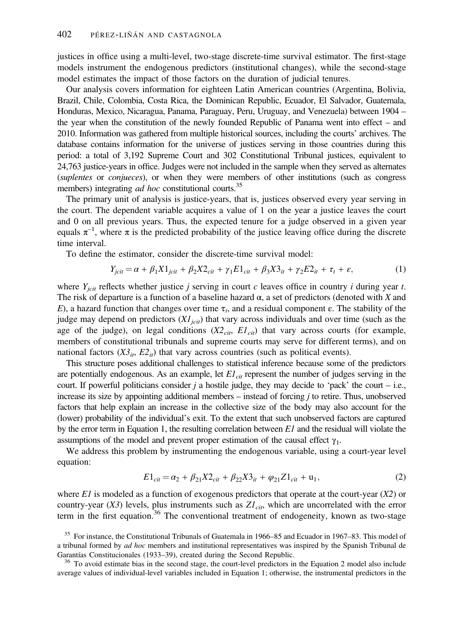justices in office using a multi-level, two-stage discrete-time survival estimator. The first-stage models instrument the endogenous predictors (institutional changes), while the second-stage model estimates the impact of those factors on the duration of judicial tenures.

Our analysis covers information for eighteen Latin American countries (Argentina, Bolivia, Brazil, Chile, Colombia, Costa Rica, the Dominican Republic, Ecuador, El Salvador, Guatemala, Honduras, Mexico, Nicaragua, Panama, Paraguay, Peru, Uruguay, and Venezuela) between 1904 – the year when the constitution of the newly founded Republic of Panama went into effect – and 2010. Information was gathered from multiple historical sources, including the courts' archives. The database contains information for the universe of justices serving in those countries during this period: a total of 3,192 Supreme Court and 302 Constitutional Tribunal justices, equivalent to 24,763 justice-years in office. Judges were not included in the sample when they served as alternates (suplentes or conjueces), or when they were members of other institutions (such as congress members) integrating *ad hoc* constitutional courts.<sup>35</sup>

The primary unit of analysis is justice-years, that is, justices observed every year serving in the court. The dependent variable acquires a value of 1 on the year a justice leaves the court and 0 on all previous years. Thus, the expected tenure for a judge observed in a given year equals  $\pi^{-1}$ , where  $\pi$  is the predicted probability of the justice leaving office during the discrete time interval.

To define the estimator, consider the discrete-time survival model:

$$
Y_{jcit} = \alpha + \beta_1 X 1_{jcit} + \beta_2 X 2_{cit} + \gamma_1 E 1_{cit} + \beta_3 X 3_{it} + \gamma_2 E 2_{it} + \tau_t + \varepsilon,
$$
 (1)

where  $Y_{\text{icit}}$  reflects whether justice j serving in court c leaves office in country i during year t. The risk of departure is a function of a baseline hazard  $\alpha$ , a set of predictors (denoted with X and E), a hazard function that changes over time  $\tau<sub>t</sub>$ , and a residual component  $\varepsilon$ . The stability of the judge may depend on predictors  $(X1_{\text{icit}})$  that vary across individuals and over time (such as the age of the judge), on legal conditions  $(X_{\text{cit}} E I_{\text{cit}})$  that vary across courts (for example, members of constitutional tribunals and supreme courts may serve for different terms), and on national factors  $(X3_{it}, E2_{it})$  that vary across countries (such as political events).

This structure poses additional challenges to statistical inference because some of the predictors are potentially endogenous. As an example, let  $EI_{cit}$  represent the number of judges serving in the court. If powerful politicians consider  $j$  a hostile judge, they may decide to 'pack' the court – i.e., increase its size by appointing additional members – instead of forcing j to retire. Thus, unobserved factors that help explain an increase in the collective size of the body may also account for the (lower) probability of the individual's exit. To the extent that such unobserved factors are captured by the error term in Equation 1, the resulting correlation between  $EI$  and the residual will violate the assumptions of the model and prevent proper estimation of the causal effect  $\gamma_1$ .

We address this problem by instrumenting the endogenous variable, using a court-year level equation:

$$
E1_{cit} = \alpha_2 + \beta_{21}X2_{cit} + \beta_{22}X3_{it} + \varphi_{21}Z1_{cit} + u_1,
$$
 (2)

where  $EI$  is modeled as a function of exogenous predictors that operate at the court-year  $(X2)$  or country-year (X3) levels, plus instruments such as  $Zl_{\text{cir}}$ , which are uncorrelated with the error term in the first equation.<sup>36</sup> The conventional treatment of endogeneity, known as two-stage

<sup>35</sup> For instance, the Constitutional Tribunals of Guatemala in 1966–85 and Ecuador in 1967–83. This model of a tribunal formed by ad hoc members and institutional representatives was inspired by the Spanish Tribunal de Garantías Constitucionales (1933–39), created during the Second Republic.<br><sup>36</sup> To avoid estimate bias in the second stage, the court-level predictors in the Equation 2 model also include

average values of individual-level variables included in Equation 1; otherwise, the instrumental predictors in the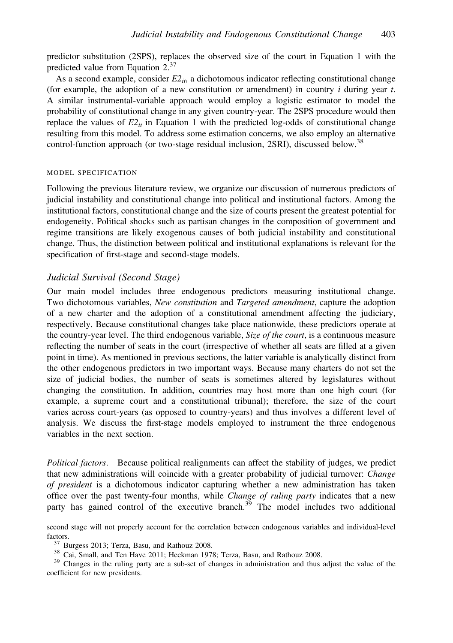predictor substitution (2SPS), replaces the observed size of the court in Equation 1 with the predicted value from Equation 2.<sup>37</sup>

As a second example, consider  $E2_{it}$ , a dichotomous indicator reflecting constitutional change (for example, the adoption of a new constitution or amendment) in country  $i$  during year  $t$ . A similar instrumental-variable approach would employ a logistic estimator to model the probability of constitutional change in any given country-year. The 2SPS procedure would then replace the values of  $E2_{it}$  in Equation 1 with the predicted log-odds of constitutional change resulting from this model. To address some estimation concerns, we also employ an alternative control-function approach (or two-stage residual inclusion, 2SRI), discussed below.<sup>38</sup>

#### MODEL SPECIFICATION

Following the previous literature review, we organize our discussion of numerous predictors of judicial instability and constitutional change into political and institutional factors. Among the institutional factors, constitutional change and the size of courts present the greatest potential for endogeneity. Political shocks such as partisan changes in the composition of government and regime transitions are likely exogenous causes of both judicial instability and constitutional change. Thus, the distinction between political and institutional explanations is relevant for the specification of first-stage and second-stage models.

## Judicial Survival (Second Stage)

Our main model includes three endogenous predictors measuring institutional change. Two dichotomous variables, New constitution and Targeted amendment, capture the adoption of a new charter and the adoption of a constitutional amendment affecting the judiciary, respectively. Because constitutional changes take place nationwide, these predictors operate at the country-year level. The third endogenous variable, Size of the court, is a continuous measure reflecting the number of seats in the court (irrespective of whether all seats are filled at a given point in time). As mentioned in previous sections, the latter variable is analytically distinct from the other endogenous predictors in two important ways. Because many charters do not set the size of judicial bodies, the number of seats is sometimes altered by legislatures without changing the constitution. In addition, countries may host more than one high court (for example, a supreme court and a constitutional tribunal); therefore, the size of the court varies across court-years (as opposed to country-years) and thus involves a different level of analysis. We discuss the first-stage models employed to instrument the three endogenous variables in the next section.

Political factors. Because political realignments can affect the stability of judges, we predict that new administrations will coincide with a greater probability of judicial turnover: *Change* of president is a dichotomous indicator capturing whether a new administration has taken office over the past twenty-four months, while Change of ruling party indicates that a new party has gained control of the executive branch.<sup>39</sup> The model includes two additional

second stage will not properly account for the correlation between endogenous variables and individual-level factors.<br><sup>37</sup> Burgess [2013;](#page-19-0) Terza, Basu, and Rathouz [2008.](#page-22-0)<br><sup>38</sup> Cai, Small, and Ten Have [2011;](#page-19-0) Heckman [1978;](#page-20-0) Terza, Basu, and Rathouz [2008](#page-22-0).<br><sup>39</sup> Changes in the ruling party are a sub-set of changes in administration and th

coefficient for new presidents.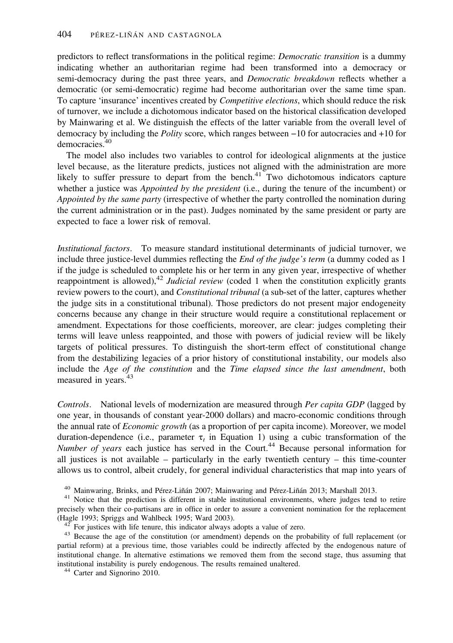predictors to reflect transformations in the political regime: *Democratic transition* is a dummy indicating whether an authoritarian regime had been transformed into a democracy or semi-democracy during the past three years, and *Democratic breakdown* reflects whether a democratic (or semi-democratic) regime had become authoritarian over the same time span. To capture 'insurance' incentives created by *Competitive elections*, which should reduce the risk of turnover, we include a dichotomous indicator based on the historical classification developed by Mainwaring et al. We distinguish the effects of the latter variable from the overall level of democracy by including the Polity score, which ranges between −10 for autocracies and +10 for democracies.40

The model also includes two variables to control for ideological alignments at the justice level because, as the literature predicts, justices not aligned with the administration are more likely to suffer pressure to depart from the bench.<sup>41</sup> Two dichotomous indicators capture whether a justice was *Appointed by the president* (i.e., during the tenure of the incumbent) or Appointed by the same party (irrespective of whether the party controlled the nomination during the current administration or in the past). Judges nominated by the same president or party are expected to face a lower risk of removal.

Institutional factors. To measure standard institutional determinants of judicial turnover, we include three justice-level dummies reflecting the *End of the judge's term* (a dummy coded as 1 if the judge is scheduled to complete his or her term in any given year, irrespective of whether reappointment is allowed),<sup>42</sup> Judicial review (coded 1 when the constitution explicitly grants review powers to the court), and *Constitutional tribunal* (a sub-set of the latter, captures whether the judge sits in a constitutional tribunal). Those predictors do not present major endogeneity concerns because any change in their structure would require a constitutional replacement or amendment. Expectations for those coefficients, moreover, are clear: judges completing their terms will leave unless reappointed, and those with powers of judicial review will be likely targets of political pressures. To distinguish the short-term effect of constitutional change from the destabilizing legacies of a prior history of constitutional instability, our models also include the Age of the constitution and the Time elapsed since the last amendment, both measured in years.<sup>43</sup>

Controls. National levels of modernization are measured through Per capita GDP (lagged by one year, in thousands of constant year-2000 dollars) and macro-economic conditions through the annual rate of *Economic growth* (as a proportion of per capita income). Moreover, we model duration-dependence (i.e., parameter  $\tau_t$  in Equation 1) using a cubic transformation of the *Number of years* each justice has served in the Court.<sup>44</sup> Because personal information for all justices is not available – particularly in the early twentieth century – this time-counter allows us to control, albeit crudely, for general individual characteristics that map into years of

<sup>40</sup> Mainwaring, Brinks, and Pérez-Liñán [2007](#page-21-0); Mainwaring and Pérez-Liñán [2013;](#page-21-0) Marshall [2013.](#page-21-0)<br><sup>41</sup> Notice that the prediction is different in stable institutional environments, where judges tend to retire precisely when their co-partisans are in office in order to assure a convenient nomination for the replacement (Hagle 1993; Spriggs and Wahlbeck 1995; Ward 2003).

 $42^{\circ}$  For justices with life tenure, this indicator always adopts a value of zero.<br><sup>43</sup> Because the age of the constitution (or amendment) depends on the probability of full replacement (or partial reform) at a previous time, those variables could be indirectly affected by the endogenous nature of institutional change. In alternative estimations we removed them from the second stage, thus assuming that institutional instability is purely endogenous. The results remained unaltered. <sup>44</sup> Carter and Signorino [2010](#page-19-0).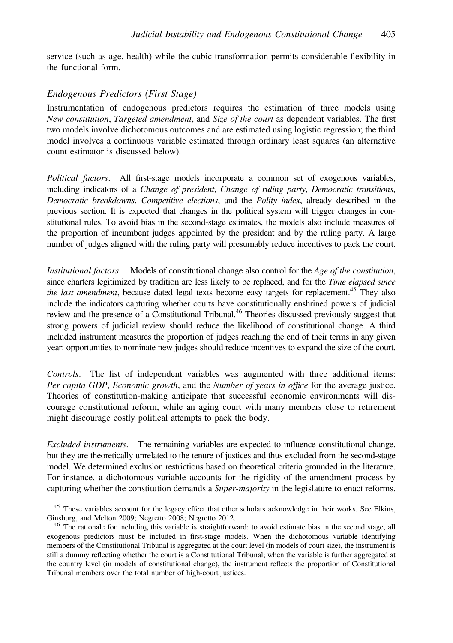service (such as age, health) while the cubic transformation permits considerable flexibility in the functional form.

## Endogenous Predictors (First Stage)

Instrumentation of endogenous predictors requires the estimation of three models using New constitution, Targeted amendment, and Size of the court as dependent variables. The first two models involve dichotomous outcomes and are estimated using logistic regression; the third model involves a continuous variable estimated through ordinary least squares (an alternative count estimator is discussed below).

Political factors. All first-stage models incorporate a common set of exogenous variables, including indicators of a Change of president, Change of ruling party, Democratic transitions, Democratic breakdowns, Competitive elections, and the Polity index, already described in the previous section. It is expected that changes in the political system will trigger changes in constitutional rules. To avoid bias in the second-stage estimates, the models also include measures of the proportion of incumbent judges appointed by the president and by the ruling party. A large number of judges aligned with the ruling party will presumably reduce incentives to pack the court.

Institutional factors. Models of constitutional change also control for the Age of the constitution, since charters legitimized by tradition are less likely to be replaced, and for the *Time elapsed since* the last amendment, because dated legal texts become easy targets for replacement.<sup>45</sup> They also include the indicators capturing whether courts have constitutionally enshrined powers of judicial review and the presence of a Constitutional Tribunal.46 Theories discussed previously suggest that strong powers of judicial review should reduce the likelihood of constitutional change. A third included instrument measures the proportion of judges reaching the end of their terms in any given year: opportunities to nominate new judges should reduce incentives to expand the size of the court.

Controls. The list of independent variables was augmented with three additional items: Per capita GDP, Economic growth, and the Number of years in office for the average justice. Theories of constitution-making anticipate that successful economic environments will discourage constitutional reform, while an aging court with many members close to retirement might discourage costly political attempts to pack the body.

Excluded instruments. The remaining variables are expected to influence constitutional change, but they are theoretically unrelated to the tenure of justices and thus excluded from the second-stage model. We determined exclusion restrictions based on theoretical criteria grounded in the literature. For instance, a dichotomous variable accounts for the rigidity of the amendment process by capturing whether the constitution demands a *Super-majority* in the legislature to enact reforms.

<sup>45</sup> These variables account for the legacy effect that other scholars acknowledge in their works. See Elkins, Ginsburg, and Melton [2009](#page-20-0); Negretto [2008](#page-21-0); Negretto [2012.](#page-21-0)<br><sup>46</sup> The rationale for including this variable is straightforward: to avoid estimate bias in the second stage, all

exogenous predictors must be included in first-stage models. When the dichotomous variable identifying members of the Constitutional Tribunal is aggregated at the court level (in models of court size), the instrument is still a dummy reflecting whether the court is a Constitutional Tribunal; when the variable is further aggregated at the country level (in models of constitutional change), the instrument reflects the proportion of Constitutional Tribunal members over the total number of high-court justices.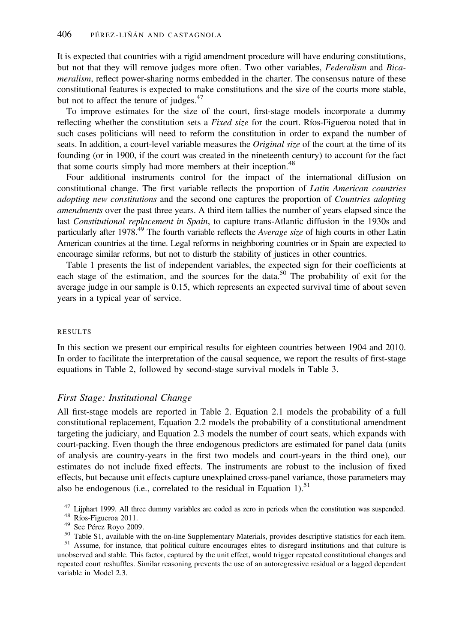It is expected that countries with a rigid amendment procedure will have enduring constitutions, but not that they will remove judges more often. Two other variables, Federalism and Bica*meralism*, reflect power-sharing norms embedded in the charter. The consensus nature of these constitutional features is expected to make constitutions and the size of the courts more stable, but not to affect the tenure of judges.<sup>47</sup>

To improve estimates for the size of the court, first-stage models incorporate a dummy reflecting whether the constitution sets a Fixed size for the court. Ríos-Figueroa noted that in such cases politicians will need to reform the constitution in order to expand the number of seats. In addition, a court-level variable measures the *Original size* of the court at the time of its founding (or in 1900, if the court was created in the nineteenth century) to account for the fact that some courts simply had more members at their inception.<sup>48</sup>

Four additional instruments control for the impact of the international diffusion on constitutional change. The first variable reflects the proportion of Latin American countries adopting new constitutions and the second one captures the proportion of Countries adopting amendments over the past three years. A third item tallies the number of years elapsed since the last Constitutional replacement in Spain, to capture trans-Atlantic diffusion in the 1930s and particularly after 1978.<sup>49</sup> The fourth variable reflects the Average size of high courts in other Latin American countries at the time. Legal reforms in neighboring countries or in Spain are expected to encourage similar reforms, but not to disturb the stability of justices in other countries.

[Table 1](#page-13-0) presents the list of independent variables, the expected sign for their coefficients at each stage of the estimation, and the sources for the data.<sup>50</sup> The probability of exit for the average judge in our sample is 0.15, which represents an expected survival time of about seven years in a typical year of service.

#### RESULTS

In this section we present our empirical results for eighteen countries between 1904 and 2010. In order to facilitate the interpretation of the causal sequence, we report the results of first-stage equations in [Table 2](#page-14-0), followed by second-stage survival models in [Table 3](#page-15-0).

## First Stage: Institutional Change

All first-stage models are reported in [Table 2.](#page-14-0) Equation 2.1 models the probability of a full constitutional replacement, Equation 2.2 models the probability of a constitutional amendment targeting the judiciary, and Equation 2.3 models the number of court seats, which expands with court-packing. Even though the three endogenous predictors are estimated for panel data (units of analysis are country-years in the first two models and court-years in the third one), our estimates do not include fixed effects. The instruments are robust to the inclusion of fixed effects, but because unit effects capture unexplained cross-panel variance, those parameters may also be endogenous (i.e., correlated to the residual in Equation 1). $51$ 

- 
- 
- 

<sup>47</sup> Lijphart [1999](#page-21-0). All three dummy variables are coded as zero in periods when the constitution was suspended.<br><sup>48</sup> Ríos-Figueroa [2011](#page-22-0).<br><sup>49</sup> See Pérez Royo [2009.](#page-21-0)<br><sup>50</sup> Table S1, available with the on-line Supplementary Ma unobserved and stable. This factor, captured by the unit effect, would trigger repeated constitutional changes and repeated court reshuffles. Similar reasoning prevents the use of an autoregressive residual or a lagged dependent variable in Model 2.3.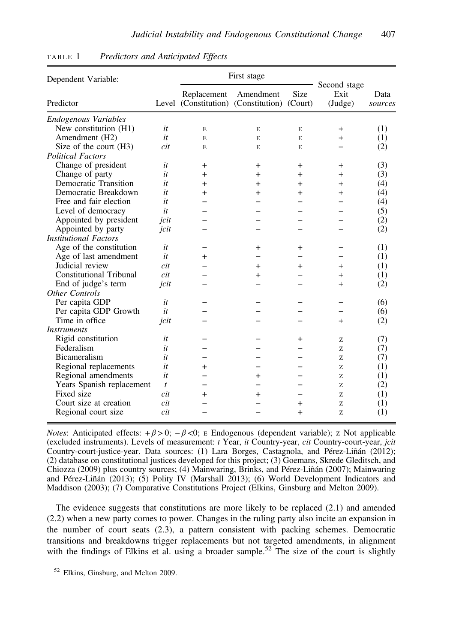| Dependent Variable:            |                  |                | First stage                                              |                |                                 |                 |
|--------------------------------|------------------|----------------|----------------------------------------------------------|----------------|---------------------------------|-----------------|
| Predictor                      |                  | Replacement    | Amendment<br>Level (Constitution) (Constitution) (Court) | Size           | Second stage<br>Exit<br>(Judge) | Data<br>sources |
| Endogenous Variables           |                  |                |                                                          |                |                                 |                 |
| New constitution (H1)          | it               | E              | E                                                        | E              | $^{+}$                          | (1)             |
| Amendment (H2)                 | it               | E.             | E.                                                       | E.             | $\overline{+}$                  | (1)             |
| Size of the court (H3)         | $\dot{c}$        | E              | E                                                        | E              |                                 | (2)             |
| <b>Political Factors</b>       |                  |                |                                                          |                |                                 |                 |
| Change of president            | it               | $\mathrm{+}$   | $\ddot{}$                                                | $\pm$          | $^{+}$                          | (3)             |
| Change of party                | it               | $\pm$          | $\overline{+}$                                           | $\overline{+}$ | $^{+}$                          | (3)             |
| <b>Democratic Transition</b>   | it               | $\pm$          | $\ddot{}$                                                | $^{+}$         | $^{+}$                          | (4)             |
| Democratic Breakdown           | it               | $\overline{+}$ | $\overline{+}$                                           | $^+$           | $\overline{+}$                  | (4)             |
| Free and fair election         | it               |                |                                                          |                |                                 | (4)             |
| Level of democracy             | it               |                |                                                          |                |                                 | (5)             |
| Appointed by president         | icit             |                |                                                          |                |                                 | (2)             |
| Appointed by party             | icit             |                |                                                          |                |                                 | (2)             |
| <b>Institutional Factors</b>   |                  |                |                                                          |                |                                 |                 |
| Age of the constitution        | it               |                | $^{+}$                                                   | $\overline{+}$ |                                 | (1)             |
| Age of last amendment          | it               | $\pm$          |                                                          |                |                                 | (1)             |
| Judicial review                | cit              |                | $^{+}$                                                   | $\overline{+}$ | $^{+}$                          | (1)             |
| <b>Constitutional Tribunal</b> | $\dot{c}$        |                | $\overline{+}$                                           |                | $^{+}$                          | (1)             |
| End of judge's term            | icit             |                |                                                          |                | $+$                             | (2)             |
| <b>Other Controls</b>          |                  |                |                                                          |                |                                 |                 |
| Per capita GDP                 | it               |                |                                                          |                |                                 | (6)             |
| Per capita GDP Growth          | it               |                |                                                          |                |                                 | (6)             |
| Time in office.                | jcit             |                |                                                          |                | $^{+}$                          | (2)             |
| <i>Instruments</i>             |                  |                |                                                          |                |                                 |                 |
| Rigid constitution             | it               |                |                                                          | $\pm$          | Z                               | (7)             |
| Federalism                     | it               |                |                                                          |                | Z                               | (7)             |
| Bicameralism                   | it               |                |                                                          |                | Z                               | (7)             |
| Regional replacements          | it               | $\overline{+}$ |                                                          |                | Z                               | (1)             |
| Regional amendments            | it               |                | $\pm$                                                    |                | Z                               | (1)             |
| Years Spanish replacement      | $\boldsymbol{t}$ |                |                                                          |                | Z.                              | (2)             |
| Fixed size                     | cit              | $\overline{+}$ | $\overline{+}$                                           |                | Z.                              | (1)             |
| Court size at creation         | cit              |                |                                                          | $\pmb{+}$      | Z.                              | (1)             |
| Regional court size            | cit              |                |                                                          | $^{+}$         | Z.                              | (1)             |
|                                |                  |                |                                                          |                |                                 |                 |

<span id="page-13-0"></span>

|  | Predictors and Anticipated Effects<br>TABLE 1 |  |
|--|-----------------------------------------------|--|
|--|-----------------------------------------------|--|

Notes: Anticipated effects:  $+\beta > 0$ ;  $-\beta < 0$ ; E Endogenous (dependent variable); z Not applicable (excluded instruments). Levels of measurement: t Year, it Country-year, cit Country-court-year, jcit Country-court-justice-year. Data sources: (1) Lara Borges, Castagnola, and Pérez-Liñán [\(2012](#page-20-0)); (2) database on constitutional justices developed for this project; (3) Goemans, Skrede Gleditsch, and Chiozza (2009) plus country sources; (4) Mainwaring, Brinks, and Pérez-Liñán ([2007\)](#page-21-0); Mainwaring and Pérez-Liñán [\(2013](#page-21-0)); (5) Polity IV (Marshall [2013\)](#page-21-0); (6) World Development Indicators and Maddison ([2003\)](#page-21-0); (7) Comparative Constitutions Project (Elkins, Ginsburg and Melton [2009](#page-20-0)).

The evidence suggests that constitutions are more likely to be replaced (2.1) and amended (2.2) when a new party comes to power. Changes in the ruling party also incite an expansion in the number of court seats (2.3), a pattern consistent with packing schemes. Democratic transitions and breakdowns trigger replacements but not targeted amendments, in alignment with the findings of Elkins et al. using a broader sample.<sup>52</sup> The size of the court is slightly

<sup>52</sup> Elkins, Ginsburg, and Melton [2009.](#page-20-0)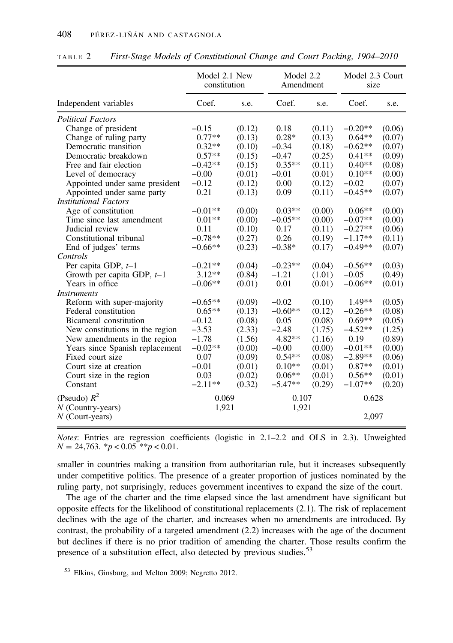|                                 | Model 2.1 New<br>constitution |        | Model 2.2<br>Amendment |        | Model 2.3 Court<br>size |        |
|---------------------------------|-------------------------------|--------|------------------------|--------|-------------------------|--------|
| Independent variables           | Coef.                         | s.e.   | Coef.                  | s.e.   | Coef.                   | s.e.   |
| <b>Political Factors</b>        |                               |        |                        |        |                         |        |
| Change of president             | $-0.15$                       | (0.12) | 0.18                   | (0.11) | $-0.20**$               | (0.06) |
| Change of ruling party          | $0.77**$                      | (0.13) | $0.28*$                | (0.13) | $0.64**$                | (0.07) |
| Democratic transition           | $0.32**$                      | (0.10) | $-0.34$                | (0.18) | $-0.62**$               | (0.07) |
| Democratic breakdown            | $0.57**$                      | (0.15) | $-0.47$                | (0.25) | $0.41**$                | (0.09) |
| Free and fair election          | $-0.42**$                     | (0.15) | $0.35**$               | (0.11) | $0.40**$                | (0.08) |
| Level of democracy              | $-0.00$                       | (0.01) | $-0.01$                | (0.01) | $0.10**$                | (0.00) |
| Appointed under same president  | $-0.12$                       | (0.12) | 0.00                   | (0.12) | $-0.02$                 | (0.07) |
| Appointed under same party      | 0.21                          | (0.13) | 0.09                   | (0.11) | $-0.45**$               | (0.07) |
| <b>Institutional Factors</b>    |                               |        |                        |        |                         |        |
| Age of constitution             | $-0.01**$                     | (0.00) | $0.03**$               | (0.00) | $0.06**$                | (0.00) |
| Time since last amendment       | $0.01**$                      | (0.00) | $-0.05**$              | (0.00) | $-0.07**$               | (0.00) |
| Judicial review                 | 0.11                          | (0.10) | 0.17                   | (0.11) | $-0.27**$               | (0.06) |
| Constitutional tribunal         | $-0.78**$                     | (0.27) | 0.26                   | (0.19) | $-1.17**$               | (0.11) |
| End of judges' terms            | $-0.66**$                     | (0.23) | $-0.38*$               | (0.17) | $-0.49**$               | (0.07) |
| Controls                        |                               |        |                        |        |                         |        |
| Per capita GDP, $t-1$           | $-0.21**$                     | (0.04) | $-0.23**$              | (0.04) | $-0.56**$               | (0.03) |
| Growth per capita GDP, $t-1$    | $3.12**$                      | (0.84) | $-1.21$                | (1.01) | $-0.05$                 | (0.49) |
| Years in office                 | $-0.06**$                     | (0.01) | 0.01                   | (0.01) | $-0.06**$               | (0.01) |
| <i>Instruments</i>              |                               |        |                        |        |                         |        |
| Reform with super-majority      | $-0.65**$                     | (0.09) | $-0.02$                | (0.10) | $1.49**$                | (0.05) |
| Federal constitution            | $0.65**$                      | (0.13) | $-0.60**$              | (0.12) | $-0.26**$               | (0.08) |
| Bicameral constitution          | $-0.12$                       | (0.08) | 0.05                   | (0.08) | $0.69**$                | (0.05) |
| New constitutions in the region | $-3.53$                       | (2.33) | $-2.48$                | (1.75) | $-4.52**$               | (1.25) |
| New amendments in the region    | $-1.78$                       | (1.56) | $4.82**$               | (1.16) | 0.19                    | (0.89) |
| Years since Spanish replacement | $-0.02**$                     | (0.00) | $-0.00$                | (0.00) | $-0.01**$               | (0.00) |
| Fixed court size                | 0.07                          | (0.09) | $0.54**$               | (0.08) | $-2.89**$               | (0.06) |
| Court size at creation          | $-0.01$                       | (0.01) | $0.10**$               | (0.01) | $0.87**$                | (0.01) |
| Court size in the region        | 0.03                          | (0.02) | $0.06**$               | (0.01) | $0.56**$                | (0.01) |
| Constant                        | $-2.11**$                     | (0.32) | $-5.47**$              | (0.29) | $-1.07**$               | (0.20) |
| (Pseudo) $R^2$                  | 0.069                         |        | 0.107                  |        | 0.628                   |        |
| $N$ (Country-years)             | 1,921                         |        | 1,921                  |        |                         |        |
| $N$ (Court-years)               |                               |        |                        |        | 2,097                   |        |

<span id="page-14-0"></span>TABLE 2 First-Stage Models of Constitutional Change and Court Packing, 1904–2010

Notes: Entries are regression coefficients (logistic in 2.1–2.2 and OLS in 2.3). Unweighted  $N = 24,763.$  \* $p < 0.05$  \*\* $p < 0.01$ .

smaller in countries making a transition from authoritarian rule, but it increases subsequently under competitive politics. The presence of a greater proportion of justices nominated by the ruling party, not surprisingly, reduces government incentives to expand the size of the court.

The age of the charter and the time elapsed since the last amendment have significant but opposite effects for the likelihood of constitutional replacements (2.1). The risk of replacement declines with the age of the charter, and increases when no amendments are introduced. By contrast, the probability of a targeted amendment (2.2) increases with the age of the document but declines if there is no prior tradition of amending the charter. Those results confirm the presence of a substitution effect, also detected by previous studies.<sup>53</sup>

<sup>53</sup> Elkins, Ginsburg, and Melton [2009](#page-20-0); Negretto [2012](#page-21-0).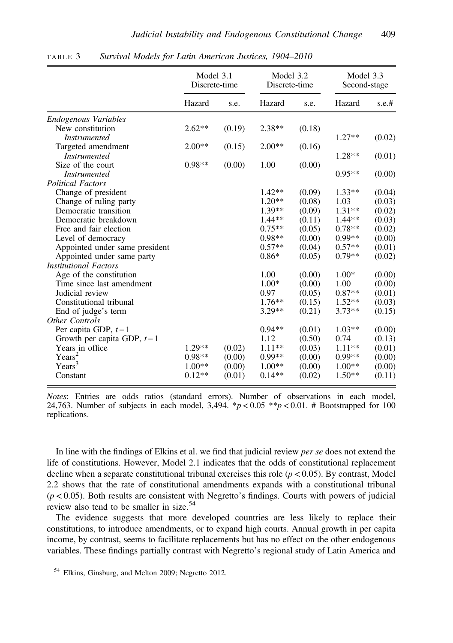|                                | Model 3.1<br>Discrete-time |        | Model 3.2<br>Discrete-time |        | Model 3.3<br>Second-stage |          |
|--------------------------------|----------------------------|--------|----------------------------|--------|---------------------------|----------|
|                                | Hazard                     | s.e.   | Hazard                     | s.e.   | Hazard                    | $s.e.$ # |
| Endogenous Variables           |                            |        |                            |        |                           |          |
| New constitution               | $2.62**$                   | (0.19) | $2.38**$                   | (0.18) |                           |          |
| Instrumented                   |                            |        |                            |        | $1.27**$                  | (0.02)   |
| Targeted amendment             | $2.00**$                   | (0.15) | $2.00**$                   | (0.16) |                           |          |
| <i>Instrumented</i>            |                            |        |                            |        | $1.28**$                  | (0.01)   |
| Size of the court              | $0.98**$                   | (0.00) | 1.00                       | (0.00) |                           |          |
| Instrumented                   |                            |        |                            |        | $0.95**$                  | (0.00)   |
| <b>Political Factors</b>       |                            |        |                            |        |                           |          |
| Change of president            |                            |        | $1.42**$                   | (0.09) | $1.33**$                  | (0.04)   |
| Change of ruling party         |                            |        | $1.20**$                   | (0.08) | 1.03                      | (0.03)   |
| Democratic transition          |                            |        | $1.39**$                   | (0.09) | $1.31**$                  | (0.02)   |
| Democratic breakdown           |                            |        | $1.44**$                   | (0.11) | $1.44**$                  | (0.03)   |
| Free and fair election         |                            |        | $0.75**$                   | (0.05) | $0.78**$                  | (0.02)   |
| Level of democracy             |                            |        | $0.98**$                   | (0.00) | $0.99**$                  | (0.00)   |
| Appointed under same president |                            |        | $0.57**$                   | (0.04) | $0.57**$                  | (0.01)   |
| Appointed under same party     |                            |        | $0.86*$                    | (0.05) | $0.79**$                  | (0.02)   |
| <b>Institutional Factors</b>   |                            |        |                            |        |                           |          |
| Age of the constitution        |                            |        | 1.00                       | (0.00) | 1.00*                     | (0.00)   |
| Time since last amendment      |                            |        | $1.00*$                    | (0.00) | 1.00                      | (0.00)   |
| Judicial review                |                            |        | 0.97                       | (0.05) | $0.87**$                  | (0.01)   |
| Constitutional tribunal        |                            |        | $1.76**$                   | (0.15) | $1.52**$                  | (0.03)   |
| End of judge's term            |                            |        | $3.29**$                   | (0.21) | $3.73**$                  | (0.15)   |
| Other Controls                 |                            |        |                            |        |                           |          |
| Per capita GDP, $t-1$          |                            |        | $0.94**$                   | (0.01) | $1.03**$                  | (0.00)   |
| Growth per capita GDP, $t-1$   |                            |        | 1.12                       | (0.50) | 0.74                      | (0.13)   |
| Years in office                | $1.29**$                   | (0.02) | $1.11**$                   | (0.03) | $1.11**$                  | (0.01)   |
| Years $^{2}$                   | $0.98**$                   | (0.00) | $0.99**$                   | (0.00) | $0.99**$                  | (0.00)   |
| Years <sup>3</sup>             | $1.00**$                   | (0.00) | $1.00**$                   | (0.00) | $1.00**$                  | (0.00)   |
| Constant                       | $0.12**$                   | (0.01) | $0.14**$                   | (0.02) | $1.50**$                  | (0.11)   |
|                                |                            |        |                            |        |                           |          |

<span id="page-15-0"></span>TABLE 3 Survival Models for Latin American Justices, 1904–2010

Notes: Entries are odds ratios (standard errors). Number of observations in each model, 24,763. Number of subjects in each model,  $3,494.$  \* $p < 0.05$  \*\*p $< 0.01.$  # Bootstrapped for 100 replications.

In line with the findings of Elkins et al. we find that judicial review *per se* does not extend the life of constitutions. However, Model 2.1 indicates that the odds of constitutional replacement decline when a separate constitutional tribunal exercises this role  $(p < 0.05)$ . By contrast, Model 2.2 shows that the rate of constitutional amendments expands with a constitutional tribunal  $(p<0.05)$ . Both results are consistent with Negretto's findings. Courts with powers of judicial review also tend to be smaller in size.<sup>54</sup>

The evidence suggests that more developed countries are less likely to replace their constitutions, to introduce amendments, or to expand high courts. Annual growth in per capita income, by contrast, seems to facilitate replacements but has no effect on the other endogenous variables. These findings partially contrast with Negretto's regional study of Latin America and

<sup>54</sup> Elkins, Ginsburg, and Melton [2009;](#page-20-0) Negretto [2012.](#page-21-0)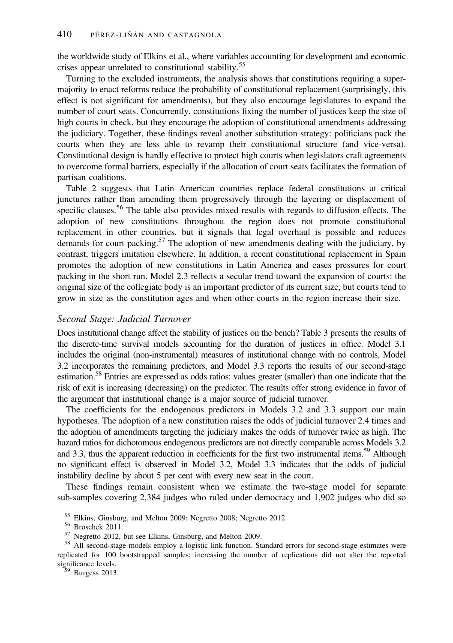the worldwide study of Elkins et al., where variables accounting for development and economic crises appear unrelated to constitutional stability.<sup>55</sup>

Turning to the excluded instruments, the analysis shows that constitutions requiring a supermajority to enact reforms reduce the probability of constitutional replacement (surprisingly, this effect is not significant for amendments), but they also encourage legislatures to expand the number of court seats. Concurrently, constitutions fixing the number of justices keep the size of high courts in check, but they encourage the adoption of constitutional amendments addressing the judiciary. Together, these findings reveal another substitution strategy: politicians pack the courts when they are less able to revamp their constitutional structure (and vice-versa). Constitutional design is hardly effective to protect high courts when legislators craft agreements to overcome formal barriers, especially if the allocation of court seats facilitates the formation of partisan coalitions.

[Table 2](#page-14-0) suggests that Latin American countries replace federal constitutions at critical junctures rather than amending them progressively through the layering or displacement of specific clauses.<sup>56</sup> The table also provides mixed results with regards to diffusion effects. The adoption of new constitutions throughout the region does not promote constitutional replacement in other countries, but it signals that legal overhaul is possible and reduces demands for court packing.<sup>57</sup> The adoption of new amendments dealing with the judiciary, by contrast, triggers imitation elsewhere. In addition, a recent constitutional replacement in Spain promotes the adoption of new constitutions in Latin America and eases pressures for court packing in the short run. Model 2.3 reflects a secular trend toward the expansion of courts: the original size of the collegiate body is an important predictor of its current size, but courts tend to grow in size as the constitution ages and when other courts in the region increase their size.

## Second Stage: Judicial Turnover

Does institutional change affect the stability of justices on the bench? [Table 3](#page-15-0) presents the results of the discrete-time survival models accounting for the duration of justices in office. Model 3.1 includes the original (non-instrumental) measures of institutional change with no controls, Model 3.2 incorporates the remaining predictors, and Model 3.3 reports the results of our second-stage estimation.<sup>58</sup> Entries are expressed as odds ratios: values greater (smaller) than one indicate that the risk of exit is increasing (decreasing) on the predictor. The results offer strong evidence in favor of the argument that institutional change is a major source of judicial turnover.

The coefficients for the endogenous predictors in Models 3.2 and 3.3 support our main hypotheses. The adoption of a new constitution raises the odds of judicial turnover 2.4 times and the adoption of amendments targeting the judiciary makes the odds of turnover twice as high. The hazard ratios for dichotomous endogenous predictors are not directly comparable across Models 3.2 and 3.3, thus the apparent reduction in coefficients for the first two instrumental items.<sup>59</sup> Although no significant effect is observed in Model 3.2, Model 3.3 indicates that the odds of judicial instability decline by about 5 per cent with every new seat in the court.

These findings remain consistent when we estimate the two-stage model for separate sub-samples covering 2,384 judges who ruled under democracy and 1,902 judges who did so

<sup>&</sup>lt;sup>55</sup> Elkins, Ginsburg, and Melton [2009](#page-20-0); Negretto [2008](#page-21-0); Negretto [2012](#page-21-0).<br><sup>56</sup> Broschek [2011](#page-19-0).<br><sup>57</sup> Negretto [2012,](#page-21-0) but see Elkins, Ginsburg, and Melton 2009.<br><sup>58</sup> All second-stage models employ a logistic link function. Standa replicated for 100 bootstrapped samples; increasing the number of replications did not alter the reported significance levels.<br><sup>59</sup> Burgess [2013](#page-19-0).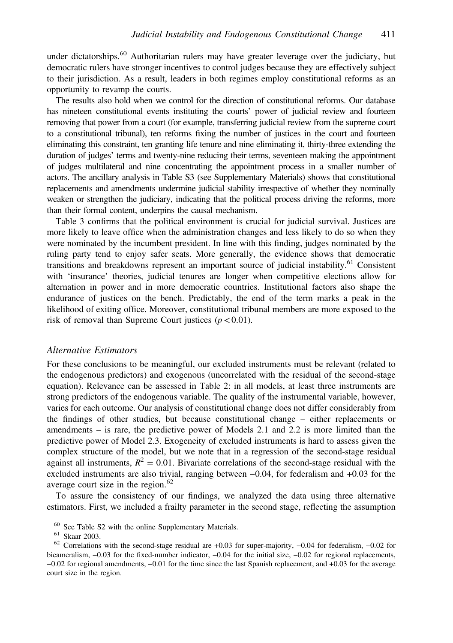under dictatorships.<sup>60</sup> Authoritarian rulers may have greater leverage over the judiciary, but democratic rulers have stronger incentives to control judges because they are effectively subject to their jurisdiction. As a result, leaders in both regimes employ constitutional reforms as an opportunity to revamp the courts.

The results also hold when we control for the direction of constitutional reforms. Our database has nineteen constitutional events instituting the courts' power of judicial review and fourteen removing that power from a court (for example, transferring judicial review from the supreme court to a constitutional tribunal), ten reforms fixing the number of justices in the court and fourteen eliminating this constraint, ten granting life tenure and nine eliminating it, thirty-three extending the duration of judges' terms and twenty-nine reducing their terms, seventeen making the appointment of judges multilateral and nine concentrating the appointment process in a smaller number of actors. The ancillary analysis in Table S3 (see Supplementary Materials) shows that constitutional replacements and amendments undermine judicial stability irrespective of whether they nominally weaken or strengthen the judiciary, indicating that the political process driving the reforms, more than their formal content, underpins the causal mechanism.

Table 3 confirms that the political environment is crucial for judicial survival. Justices are more likely to leave office when the administration changes and less likely to do so when they were nominated by the incumbent president. In line with this finding, judges nominated by the ruling party tend to enjoy safer seats. More generally, the evidence shows that democratic transitions and breakdowns represent an important source of judicial instability.<sup>61</sup> Consistent with 'insurance' theories, judicial tenures are longer when competitive elections allow for alternation in power and in more democratic countries. Institutional factors also shape the endurance of justices on the bench. Predictably, the end of the term marks a peak in the likelihood of exiting office. Moreover, constitutional tribunal members are more exposed to the risk of removal than Supreme Court justices ( $p < 0.01$ ).

## Alternative Estimators

For these conclusions to be meaningful, our excluded instruments must be relevant (related to the endogenous predictors) and exogenous (uncorrelated with the residual of the second-stage equation). Relevance can be assessed in [Table 2:](#page-14-0) in all models, at least three instruments are strong predictors of the endogenous variable. The quality of the instrumental variable, however, varies for each outcome. Our analysis of constitutional change does not differ considerably from the findings of other studies, but because constitutional change – either replacements or amendments – is rare, the predictive power of Models 2.1 and 2.2 is more limited than the predictive power of Model 2.3. Exogeneity of excluded instruments is hard to assess given the complex structure of the model, but we note that in a regression of the second-stage residual against all instruments,  $R^2 = 0.01$ . Bivariate correlations of the second-stage residual with the excluded instruments are also trivial, ranging between −0.04, for federalism and +0.03 for the average court size in the region. $62$ 

To assure the consistency of our findings, we analyzed the data using three alternative estimators. First, we included a frailty parameter in the second stage, reflecting the assumption

<sup>60</sup> See Table S2 with the online Supplementary Materials.<br>
<sup>61</sup> Skaar [2003.](#page-22-0)<br><sup>62</sup> Correlations with the second-stage residual are +0.03 for super-majority, −0.04 for federalism, −0.02 for bicameralism, −0.03 for the fixed-number indicator, −0.04 for the initial size, −0.02 for regional replacements, −0.02 for regional amendments, −0.01 for the time since the last Spanish replacement, and +0.03 for the average court size in the region.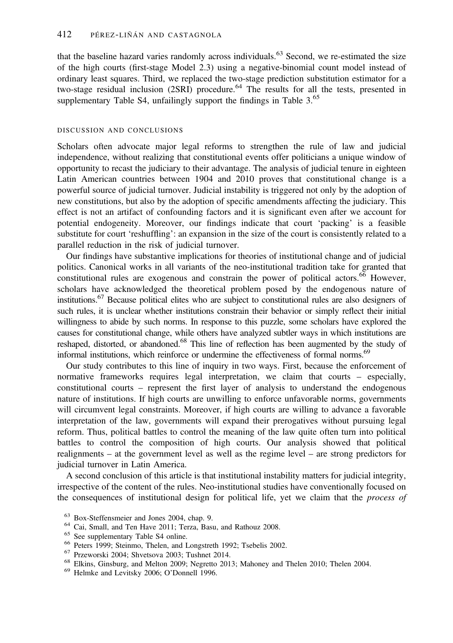that the baseline hazard varies randomly across individuals.<sup>63</sup> Second, we re-estimated the size of the high courts (first-stage Model 2.3) using a negative-binomial count model instead of ordinary least squares. Third, we replaced the two-stage prediction substitution estimator for a two-stage residual inclusion  $(2SRI)$  procedure.<sup>64</sup> The results for all the tests, presented in supplementary Table S4, unfailingly support the findings in Table  $3<sup>65</sup>$ 

#### DISCUSSION AND CONCLUSIONS

Scholars often advocate major legal reforms to strengthen the rule of law and judicial independence, without realizing that constitutional events offer politicians a unique window of opportunity to recast the judiciary to their advantage. The analysis of judicial tenure in eighteen Latin American countries between 1904 and 2010 proves that constitutional change is a powerful source of judicial turnover. Judicial instability is triggered not only by the adoption of new constitutions, but also by the adoption of specific amendments affecting the judiciary. This effect is not an artifact of confounding factors and it is significant even after we account for potential endogeneity. Moreover, our findings indicate that court 'packing' is a feasible substitute for court 'reshuffling': an expansion in the size of the court is consistently related to a parallel reduction in the risk of judicial turnover.

Our findings have substantive implications for theories of institutional change and of judicial politics. Canonical works in all variants of the neo-institutional tradition take for granted that constitutional rules are exogenous and constrain the power of political actors.<sup>66</sup> However, scholars have acknowledged the theoretical problem posed by the endogenous nature of institutions.67 Because political elites who are subject to constitutional rules are also designers of such rules, it is unclear whether institutions constrain their behavior or simply reflect their initial willingness to abide by such norms. In response to this puzzle, some scholars have explored the causes for constitutional change, while others have analyzed subtler ways in which institutions are reshaped, distorted, or abandoned.<sup>68</sup> This line of reflection has been augmented by the study of informal institutions, which reinforce or undermine the effectiveness of formal norms.<sup>69</sup>

Our study contributes to this line of inquiry in two ways. First, because the enforcement of normative frameworks requires legal interpretation, we claim that courts – especially, constitutional courts – represent the first layer of analysis to understand the endogenous nature of institutions. If high courts are unwilling to enforce unfavorable norms, governments will circumvent legal constraints. Moreover, if high courts are willing to advance a favorable interpretation of the law, governments will expand their prerogatives without pursuing legal reform. Thus, political battles to control the meaning of the law quite often turn into political battles to control the composition of high courts. Our analysis showed that political realignments – at the government level as well as the regime level – are strong predictors for judicial turnover in Latin America.

A second conclusion of this article is that institutional instability matters for judicial integrity, irrespective of the content of the rules. Neo-institutional studies have conventionally focused on the consequences of institutional design for political life, yet we claim that the *process of* 

- 
- 
- 
- 
- <sup>63</sup> Box-Steffensmeier and Jones [2004,](#page-19-0) chap. 9.<br>
<sup>64</sup> Cai, Small, and Ten Have [2011;](#page-19-0) Terza, Basu, and Rathouz [2008](#page-22-0).<br>
<sup>65</sup> See supplementary Table S4 online.<br>
<sup>66</sup> Peters [1999;](#page-21-0) Steinmo, Thelen, and Longstreth [1992;](#page-22-0) Tsebeli
-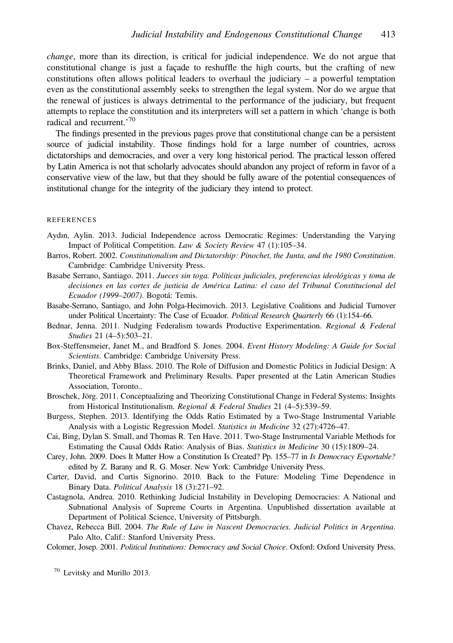<span id="page-19-0"></span>change, more than its direction, is critical for judicial independence. We do not argue that constitutional change is just a façade to reshuffle the high courts, but the crafting of new constitutions often allows political leaders to overhaul the judiciary – a powerful temptation even as the constitutional assembly seeks to strengthen the legal system. Nor do we argue that the renewal of justices is always detrimental to the performance of the judiciary, but frequent attempts to replace the constitution and its interpreters will set a pattern in which 'change is both radical and recurrent.' 70

The findings presented in the previous pages prove that constitutional change can be a persistent source of judicial instability. Those findings hold for a large number of countries, across dictatorships and democracies, and over a very long historical period. The practical lesson offered by Latin America is not that scholarly advocates should abandon any project of reform in favor of a conservative view of the law, but that they should be fully aware of the potential consequences of institutional change for the integrity of the judiciary they intend to protect.

#### REFERENCES

- Aydın, Aylin. 2013. Judicial Independence across Democratic Regimes: Understanding the Varying Impact of Political Competition. Law & Society Review 47 (1):105–34.
- Barros, Robert. 2002. Constitutionalism and Dictatorship: Pinochet, the Junta, and the 1980 Constitution. Cambridge: Cambridge University Press.
- Basabe Serrano, Santiago. 2011. Jueces sin toga. Políticas judiciales, preferencias ideológicas y toma de decisiones en las cortes de justicia de América Latina: el caso del Tribunal Constitucional del Ecuador (1999–2007). Bogotá: Temis.
- Basabe-Serrano, Santiago, and John Polga-Hecimovich. 2013. Legislative Coalitions and Judicial Turnover under Political Uncertainty: The Case of Ecuador. Political Research Quarterly 66 (1):154–66.
- Bednar, Jenna. 2011. Nudging Federalism towards Productive Experimentation. Regional & Federal Studies 21 (4–5):503–21.
- Box-Steffensmeier, Janet M., and Bradford S. Jones. 2004. Event History Modeling: A Guide for Social Scientists. Cambridge: Cambridge University Press.
- Brinks, Daniel, and Abby Blass. 2010. The Role of Diffusion and Domestic Politics in Judicial Design: A Theoretical Framework and Preliminary Results. Paper presented at the Latin American Studies Association, Toronto..
- Broschek, Jörg. 2011. Conceptualizing and Theorizing Constitutional Change in Federal Systems: Insights from Historical Institutionalism. Regional & Federal Studies 21 (4–5):539–59.
- Burgess, Stephen. 2013. Identifying the Odds Ratio Estimated by a Two-Stage Instrumental Variable Analysis with a Logistic Regression Model. Statistics in Medicine 32 (27):4726–47.
- Cai, Bing, Dylan S. Small, and Thomas R. Ten Have. 2011. Two-Stage Instrumental Variable Methods for Estimating the Causal Odds Ratio: Analysis of Bias. Statistics in Medicine 30 (15):1809–24.
- Carey, John. 2009. Does It Matter How a Constitution Is Created? Pp. 155–77 in Is Democracy Exportable? edited by Z. Barany and R. G. Moser. New York: Cambridge University Press.
- Carter, David, and Curtis Signorino. 2010. Back to the Future: Modeling Time Dependence in Binary Data. Political Analysis 18 (3):271–92.
- Castagnola, Andrea. 2010. Rethinking Judicial Instability in Developing Democracies: A National and Subnational Analysis of Supreme Courts in Argentina. Unpublished dissertation available at Department of Political Science, University of Pittsburgh.
- Chavez, Rebecca Bill. 2004. The Rule of Law in Nascent Democracies. Judicial Politics in Argentina. Palo Alto, Calif.: Stanford University Press.
- Colomer, Josep. 2001. Political Institutions: Democracy and Social Choice. Oxford: Oxford University Press.

<sup>70</sup> Levitsky and Murillo [2013.](#page-20-0)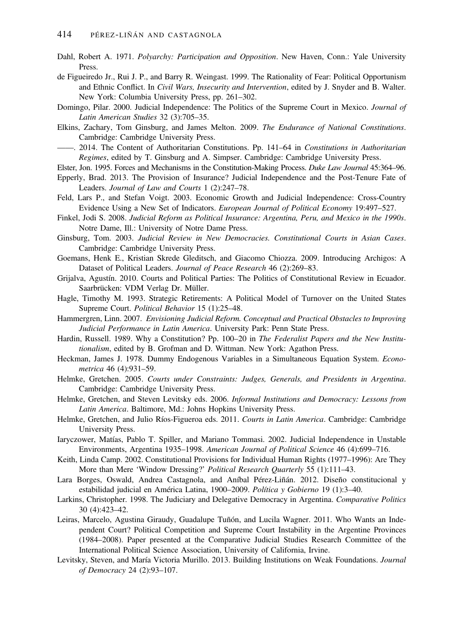- <span id="page-20-0"></span>Dahl, Robert A. 1971. Polyarchy: Participation and Opposition. New Haven, Conn.: Yale University Press.
- de Figueiredo Jr., Rui J. P., and Barry R. Weingast. 1999. The Rationality of Fear: Political Opportunism and Ethnic Conflict. In Civil Wars, Insecurity and Intervention, edited by J. Snyder and B. Walter. New York: Columbia University Press, pp. 261–302.
- Domingo, Pilar. 2000. Judicial Independence: The Politics of the Supreme Court in Mexico. Journal of Latin American Studies 32 (3):705–35.
- Elkins, Zachary, Tom Ginsburg, and James Melton. 2009. The Endurance of National Constitutions. Cambridge: Cambridge University Press.
- <sup>2014</sup>. The Content of Authoritarian Constitutions. Pp. 141–64 in Constitutions in Authoritarian Regimes, edited by T. Ginsburg and A. Simpser. Cambridge: Cambridge University Press.
- Elster, Jon. 1995. Forces and Mechanisms in the Constitution-Making Process. Duke Law Journal 45:364–96.
- Epperly, Brad. 2013. The Provision of Insurance? Judicial Independence and the Post-Tenure Fate of Leaders. Journal of Law and Courts 1 (2):247–78.
- Feld, Lars P., and Stefan Voigt. 2003. Economic Growth and Judicial Independence: Cross-Country Evidence Using a New Set of Indicators. European Journal of Political Economy 19:497–527.
- Finkel, Jodi S. 2008. Judicial Reform as Political Insurance: Argentina, Peru, and Mexico in the 1990s. Notre Dame, Ill.: University of Notre Dame Press.
- Ginsburg, Tom. 2003. Judicial Review in New Democracies. Constitutional Courts in Asian Cases. Cambridge: Cambridge University Press.
- Goemans, Henk E., Kristian Skrede Gleditsch, and Giacomo Chiozza. 2009. Introducing Archigos: A Dataset of Political Leaders. Journal of Peace Research 46 (2):269–83.
- Grijalva, Agustín. 2010. Courts and Political Parties: The Politics of Constitutional Review in Ecuador. Saarbrücken: VDM Verlag Dr. Müller.
- Hagle, Timothy M. 1993. Strategic Retirements: A Political Model of Turnover on the United States Supreme Court. Political Behavior 15 (1):25–48.
- Hammergren, Linn. 2007. Envisioning Judicial Reform. Conceptual and Practical Obstacles to Improving Judicial Performance in Latin America. University Park: Penn State Press.
- Hardin, Russell. 1989. Why a Constitution? Pp. 100-20 in The Federalist Papers and the New Institutionalism, edited by B. Grofman and D. Wittman. New York: Agathon Press.
- Heckman, James J. 1978. Dummy Endogenous Variables in a Simultaneous Equation System. Econometrica 46 (4):931–59.
- Helmke, Gretchen. 2005. Courts under Constraints: Judges, Generals, and Presidents in Argentina. Cambridge: Cambridge University Press.
- Helmke, Gretchen, and Steven Levitsky eds. 2006. Informal Institutions and Democracy: Lessons from Latin America. Baltimore, Md.: Johns Hopkins University Press.
- Helmke, Gretchen, and Julio Ríos-Figueroa eds. 2011. Courts in Latin America. Cambridge: Cambridge University Press.
- Iaryczower, Matías, Pablo T. Spiller, and Mariano Tommasi. 2002. Judicial Independence in Unstable Environments, Argentina 1935–1998. American Journal of Political Science 46 (4):699–716.
- Keith, Linda Camp. 2002. Constitutional Provisions for Individual Human Rights (1977–1996): Are They More than Mere 'Window Dressing?' Political Research Quarterly 55 (1):111-43.
- Lara Borges, Oswald, Andrea Castagnola, and Aníbal Pérez-Liñán. 2012. Diseño constitucional y estabilidad judicial en América Latina, 1900–2009. Política y Gobierno 19 (1):3–40.
- Larkins, Christopher. 1998. The Judiciary and Delegative Democracy in Argentina. Comparative Politics 30 (4):423–42.
- Leiras, Marcelo, Agustina Giraudy, Guadalupe Tuñón, and Lucila Wagner. 2011. Who Wants an Independent Court? Political Competition and Supreme Court Instability in the Argentine Provinces (1984–2008). Paper presented at the Comparative Judicial Studies Research Committee of the International Political Science Association, University of California, Irvine.
- Levitsky, Steven, and María Victoria Murillo. 2013. Building Institutions on Weak Foundations. Journal of Democracy 24 (2):93–107.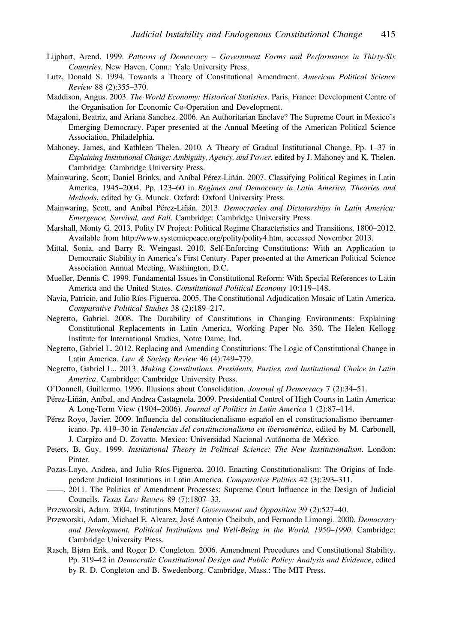- <span id="page-21-0"></span>Lijphart, Arend. 1999. Patterns of Democracy – Government Forms and Performance in Thirty-Six Countries. New Haven, Conn.: Yale University Press.
- Lutz, Donald S. 1994. Towards a Theory of Constitutional Amendment. American Political Science Review 88 (2):355–370.
- Maddison, Angus. 2003. The World Economy: Historical Statistics. Paris, France: Development Centre of the Organisation for Economic Co-Operation and Development.
- Magaloni, Beatriz, and Ariana Sanchez. 2006. An Authoritarian Enclave? The Supreme Court in Mexico's Emerging Democracy. Paper presented at the Annual Meeting of the American Political Science Association, Philadelphia.
- Mahoney, James, and Kathleen Thelen. 2010. A Theory of Gradual Institutional Change. Pp. 1–37 in Explaining Institutional Change: Ambiguity, Agency, and Power, edited by J. Mahoney and K. Thelen. Cambridge: Cambridge University Press.
- Mainwaring, Scott, Daniel Brinks, and Aníbal Pérez-Liñán. 2007. Classifying Political Regimes in Latin America, 1945–2004. Pp. 123–60 in Regimes and Democracy in Latin America. Theories and Methods, edited by G. Munck. Oxford: Oxford University Press.
- Mainwaring, Scott, and Aníbal Pérez-Liñán. 2013. Democracies and Dictatorships in Latin America: Emergence, Survival, and Fall. Cambridge: Cambridge University Press.
- Marshall, Monty G. 2013. Polity IV Project: Political Regime Characteristics and Transitions, 1800–2012. Available from [http://www.systemicpeace.org/polity/polity4.htm,](http://www.systemicpeace.org/polity/polity4.htm) accessed November 2013.
- Mittal, Sonia, and Barry R. Weingast. 2010. Self-Enforcing Constitutions: With an Application to Democratic Stability in America's First Century. Paper presented at the American Political Science Association Annual Meeting, Washington, D.C.
- Mueller, Dennis C. 1999. Fundamental Issues in Constitutional Reform: With Special References to Latin America and the United States. Constitutional Political Economy 10:119–148.
- Navia, Patricio, and Julio Ríos-Figueroa. 2005. The Constitutional Adjudication Mosaic of Latin America. Comparative Political Studies 38 (2):189–217.
- Negretto, Gabriel. 2008. The Durability of Constitutions in Changing Environments: Explaining Constitutional Replacements in Latin America, Working Paper No. 350, The Helen Kellogg Institute for International Studies, Notre Dame, Ind.
- Negretto, Gabriel L. 2012. Replacing and Amending Constitutions: The Logic of Constitutional Change in Latin America. Law & Society Review 46 (4):749–779.
- Negretto, Gabriel L.. 2013. Making Constitutions. Presidents, Parties, and Institutional Choice in Latin America. Cambridge: Cambridge University Press.
- O'Donnell, Guillermo. 1996. Illusions about Consolidation. Journal of Democracy 7 (2):34–51.
- Pérez-Liñán, Aníbal, and Andrea Castagnola. 2009. Presidential Control of High Courts in Latin America: A Long-Term View (1904–2006). Journal of Politics in Latin America 1 (2):87–114.
- Pérez Royo, Javier. 2009. Influencia del constitucionalismo español en el constitucionalismo iberoamericano. Pp. 419–30 in Tendencias del constitucionalismo en iberoamérica, edited by M. Carbonell, J. Carpizo and D. Zovatto. Mexico: Universidad Nacional Autónoma de México.
- Peters, B. Guy. 1999. Institutional Theory in Political Science: The New Institutionalism. London: Pinter.
- Pozas-Loyo, Andrea, and Julio Ríos-Figueroa. 2010. Enacting Constitutionalism: The Origins of Independent Judicial Institutions in Latin America. Comparative Politics 42 (3):293–311.
- ——. 2011. The Politics of Amendment Processes: Supreme Court Influence in the Design of Judicial Councils. Texas Law Review 89 (7):1807–33.
- Przeworski, Adam. 2004. Institutions Matter? Government and Opposition 39 (2):527–40.
- Przeworski, Adam, Michael E. Alvarez, José Antonio Cheibub, and Fernando Limongi. 2000. Democracy and Development. Political Institutions and Well-Being in the World, 1950–1990. Cambridge: Cambridge University Press.
- Rasch, Bjørn Erik, and Roger D. Congleton. 2006. Amendment Procedures and Constitutional Stability. Pp. 319–42 in Democratic Constitutional Design and Public Policy: Analysis and Evidence, edited by R. D. Congleton and B. Swedenborg. Cambridge, Mass.: The MIT Press.